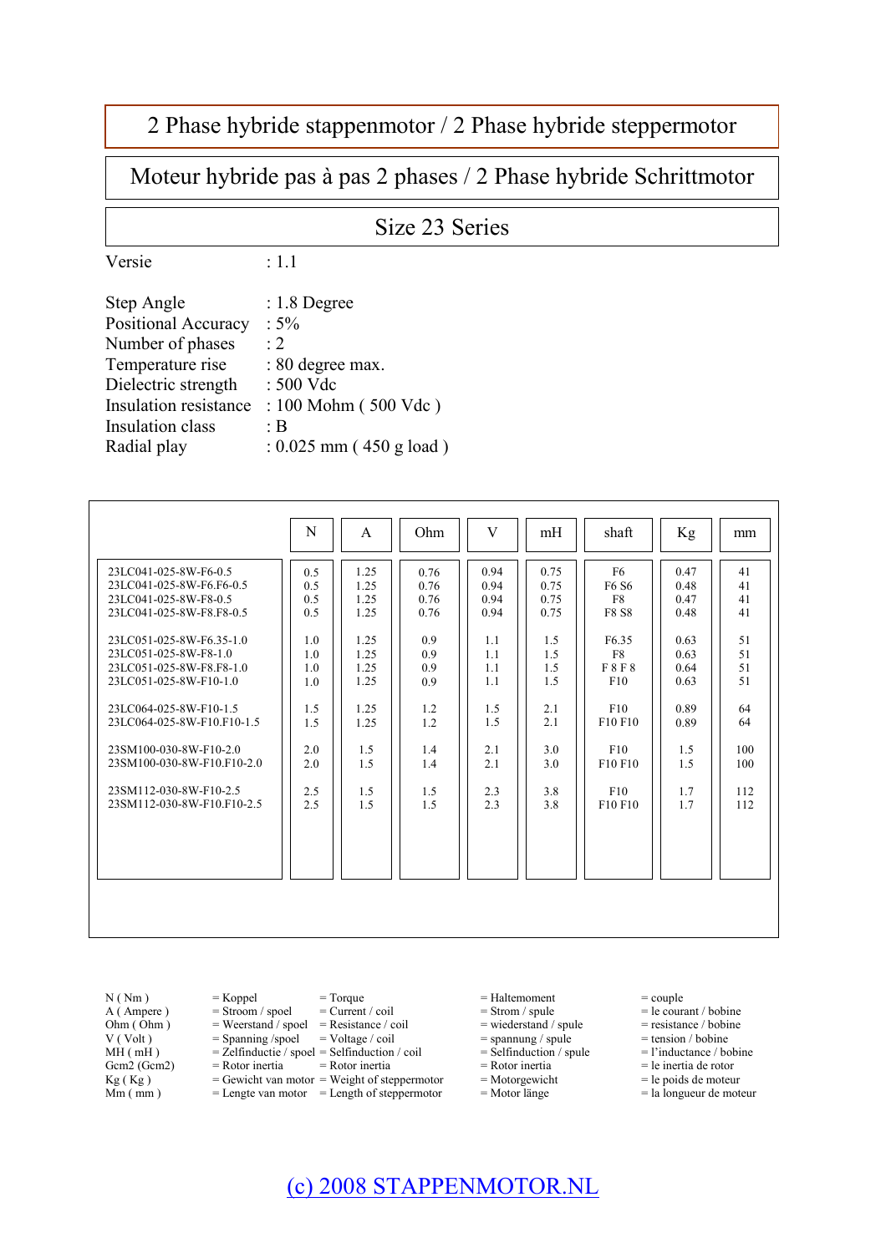## 2 Phase hybride stappenmotor / 2 Phase hybride steppermotor

Moteur hybride pas à pas 2 phases / 2 Phase hybride Schrittmotor

#### Size 23 Series

Versie : 1.1

| Step Angle            | : $1.8$ Degree            |
|-----------------------|---------------------------|
| Positional Accuracy   | : $5%$                    |
| Number of phases      | $\cdot$ 2                 |
| Temperature rise      | : 80 degree max.          |
| Dielectric strength   | : 500 Vdc                 |
| Insulation resistance | : 100 Mohm (500 Vdc)      |
| Insulation class      | ۰B                        |
| Radial play           | $: 0.025$ mm (450 g load) |
|                       |                           |

|                            | N   | A    | Ohm  | V    | mH   | shaft                           | Kg   | mm  |
|----------------------------|-----|------|------|------|------|---------------------------------|------|-----|
| 23LC041-025-8W-F6-0.5      | 0.5 | 1.25 | 0.76 | 0.94 | 0.75 | F6                              | 0.47 | 41  |
| 23LC041-025-8W-F6.F6-0.5   | 0.5 | 1.25 | 0.76 | 0.94 | 0.75 | F6 S6                           | 0.48 | 41  |
| 23LC041-025-8W-F8-0.5      | 0.5 | 1.25 | 0.76 | 0.94 | 0.75 | F8                              | 0.47 | 41  |
| 23LC041-025-8W-F8 F8-0.5   | 0.5 | 1.25 | 0.76 | 0.94 | 0.75 | <b>F8 S8</b>                    | 0.48 | 41  |
| 23LC051-025-8W-F6.35-1.0   | 1.0 | 1.25 | 0.9  | 1.1  | 1.5  | F <sub>6.35</sub>               | 0.63 | 51  |
| 23LC051-025-8W-F8-1.0      | 1.0 | 1.25 | 0.9  | 1.1  | 1.5  | F8                              | 0.63 | 51  |
| 23LC051-025-8W-F8 F8-1.0   | 1.0 | 1.25 | 0.9  | 1.1  | 1.5  | <b>F8F8</b>                     | 0.64 | 51  |
| 23LC051-025-8W-F10-1.0     | 1.0 | 1.25 | 0.9  | 1.1  | 1.5  | F10                             | 0.63 | 51  |
| 23LC064-025-8W-F10-1.5     | 1.5 | 1.25 | 1.2  | 1.5  | 2.1  | F10                             | 0.89 | 64  |
| 23LC064-025-8W-F10.F10-1.5 | 1.5 | 1.25 | 1.2  | 1.5  | 2.1  | F10 F10                         | 0.89 | 64  |
| 23SM100-030-8W-F10-2.0     | 2.0 | 1.5  | 1.4  | 2.1  | 3.0  | F10                             | 1.5  | 100 |
| 23SM100-030-8W-F10.F10-2.0 | 2.0 | 1.5  | 1.4  | 2.1  | 3.0  | F <sub>10</sub> F <sub>10</sub> | 1.5  | 100 |
| 23SM112-030-8W-F10-2.5     | 2.5 | 1.5  | 1.5  | 2.3  | 3.8  | F10                             | 1.7  | 112 |
| 23SM112-030-8W-F10 F10-2.5 | 2.5 | 1.5  | 1.5  | 2.3  | 3.8  | F10 F10                         | 1.7  | 112 |
|                            |     |      |      |      |      |                                 |      |     |

 $N(Nm)$  = Koppel = Torque = Haltemoment = couple<br>  $A(Nm)$  = Stroom / spoel = Current / coil = Strom / spule = le cour-A (Ampere ) = Stroom / spoel = Current / coil = Stroom / spule = le courant / bobine = Weerstand / spoel = Resistance / coil = wiederstand / spule = resistance / bobine Ohm  $\overrightarrow{OMm}$   $\overrightarrow{OMm}$   $\overrightarrow{OMm}$   $\overrightarrow{OMm}$   $\overrightarrow{OMm}$   $\overrightarrow{OMm}$   $\overrightarrow{OMm}$   $\overrightarrow{OMm}$   $\overrightarrow{OMm}$   $\overrightarrow{OMm}$   $\overrightarrow{OMm}$   $\overrightarrow{OMm}$   $\overrightarrow{OMm}$   $\overrightarrow{OMm}$   $\overrightarrow{OMm}$   $\overrightarrow{OMm}$   $\overrightarrow{OMm}$   $\overrightarrow{OMm}$   $\overrightarrow{OMm}$   $\overrightarrow{OMm}$   $\overrightarrow{OMm}$   $\overrightarrow{OMm$  $V (Volt)$  = Spanning /spoel = Voltage / coil = spannung / spule = tension / bobine = Xelfinductie / spoel = Selfinduction / coil = Selfinduction / spule = l'inductance / bobine  $M_H$  (mH) = Zelfinductie / spoel = Selfinduction / coil = Selfinduction / spule = l'inductance / bob Gcm2 (Gcm2) = Rotor inertia = Rotor inertia = Rotor inertia = le inertia de rotor Gcm2 (Gcm2) = Rotor inertia = Rotor inertia = Rotor inertia = Rotor inertia = Rotor inertia = le inertia de rotor  $\text{Kg}$  (Kg) = Gewicht van motor = Weight of steppermotor = Motorgewicht = le poids de moteur  $=$  Gewicht van motor = Weight of steppermotor  $Mm$  ( $mm$ ) = Lengte van motor = Length of steppermotor = Motor länge = la longueur de moteur

- 
- 

(c) 2008 STAPPENMOTOR.NL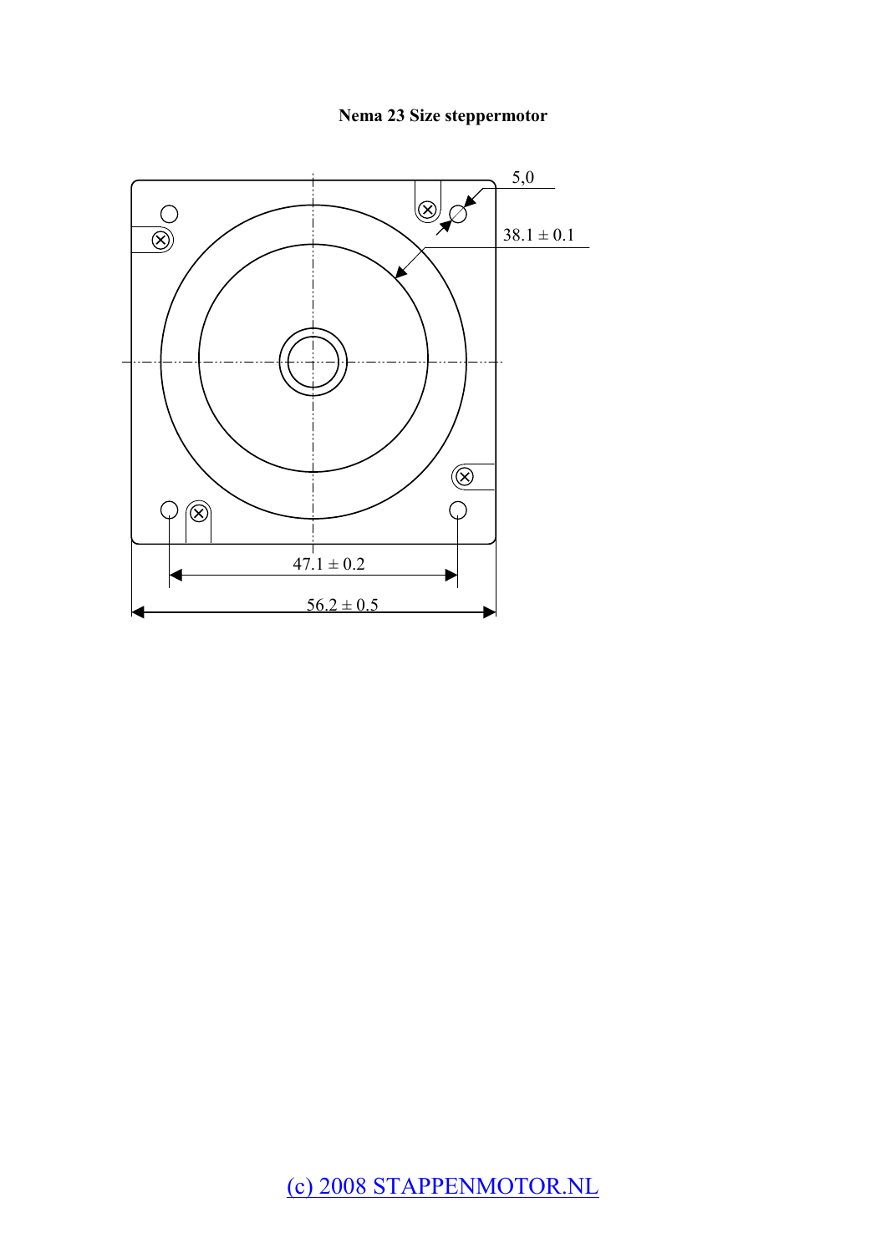#### **Nema 23 Size steppermotor**

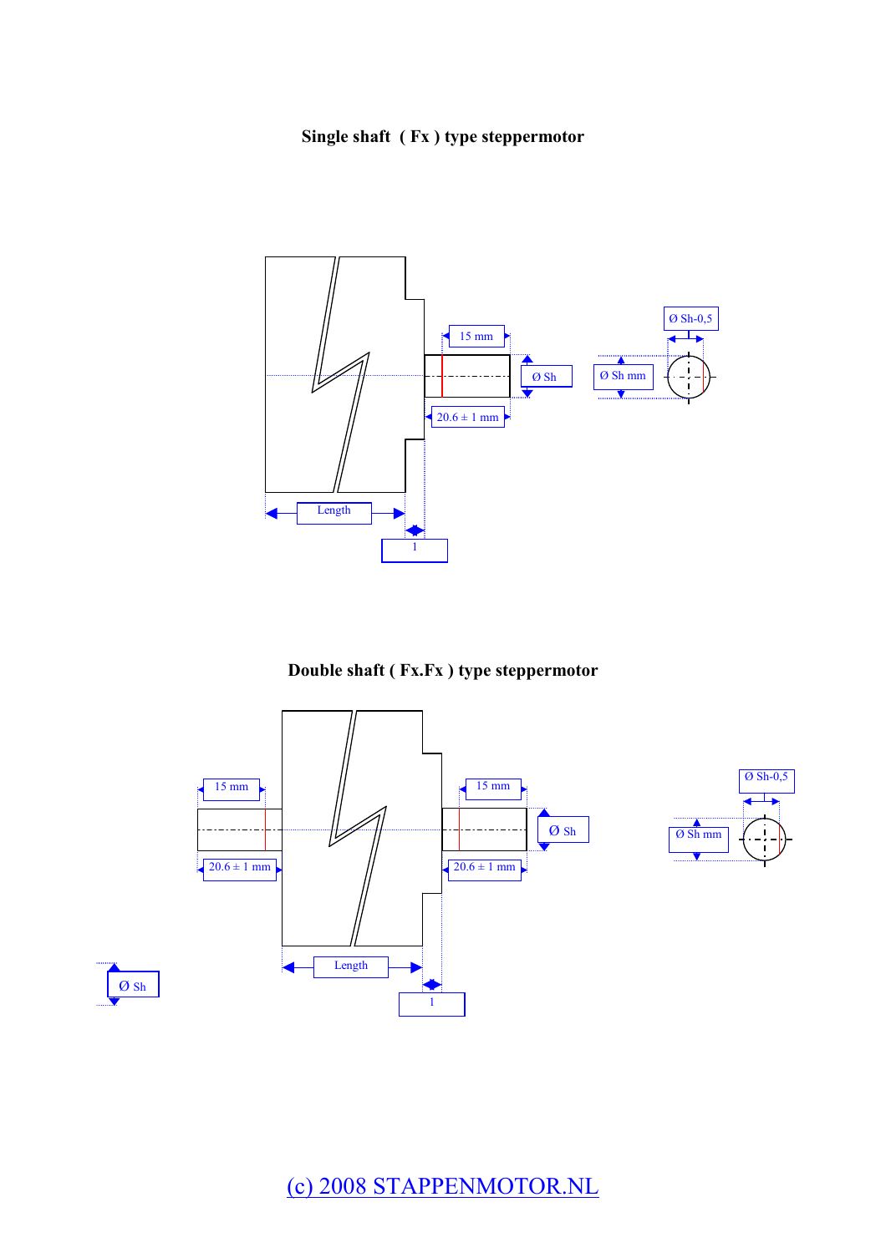



**Double shaft ( Fx.Fx ) type steppermotor** 

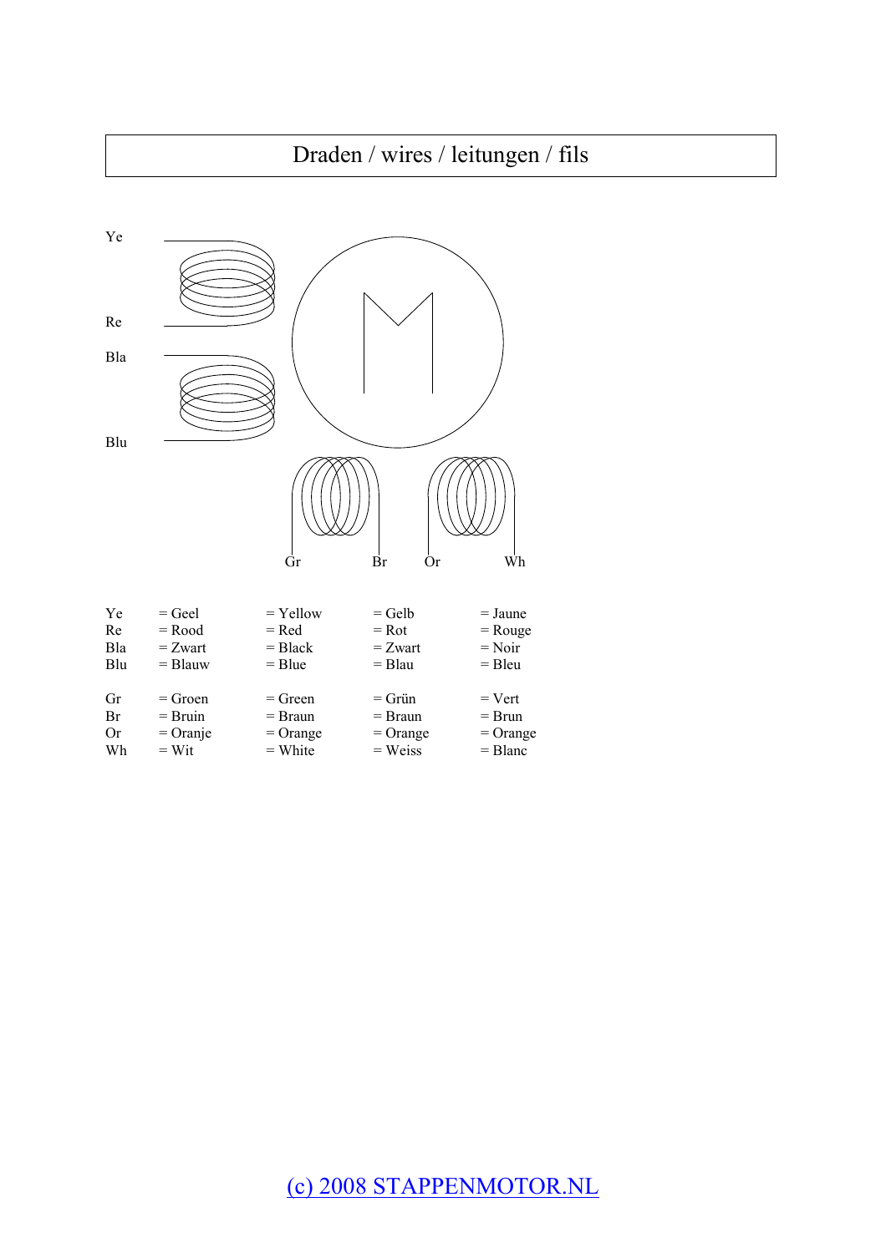# Draden / wires / leitungen / fils